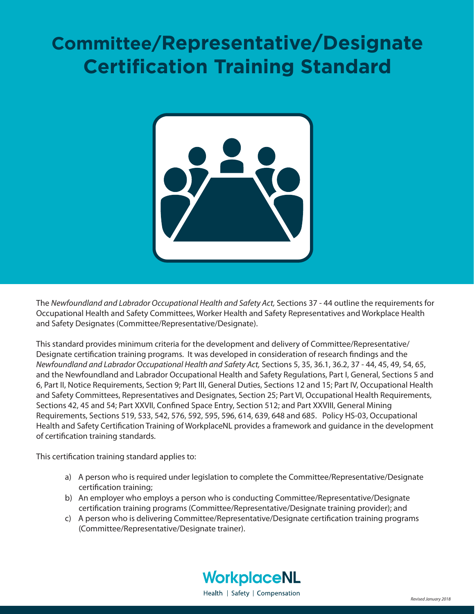# **Committee/Representative/Designate Certification Training Standard**



The Newfoundland and Labrador Occupational Health and Safety Act, Sections 37 - 44 outline the requirements for Occupational Health and Safety Committees, Worker Health and Safety Representatives and Workplace Health and Safety Designates (Committee/Representative/Designate).

This standard provides minimum criteria for the development and delivery of Committee/Representative/ Designate certification training programs. It was developed in consideration of research findings and the *Newfoundland and Labrador Occupational Health and Safety Act,* Sections 5, 35, 36.1, 36.2, 37 - 44, 45, 49, 54, 65, and the Newfoundland and Labrador Occupational Health and Safety Regulations, Part I, General, Sections 5 and 6, Part II, Notice Requirements, Section 9; Part III, General Duties, Sections 12 and 15; Part IV, Occupational Health and Safety Committees, Representatives and Designates, Section 25; Part VI, Occupational Health Requirements, Sections 42, 45 and 54; Part XXVII, Confined Space Entry, Section 512; and Part XXVIII, General Mining Requirements, Sections 519, 533, 542, 576, 592, 595, 596, 614, 639, 648 and 685. Policy HS-03, Occupational Health and Safety Certification Training of WorkplaceNL provides a framework and guidance in the development of certification training standards.

This certification training standard applies to:

- a) A person who is required under legislation to complete the Committee/Representative/Designate certification training;
- b) An employer who employs a person who is conducting Committee/Representative/Designate certification training programs (Committee/Representative/Designate training provider); and
- c) A person who is delivering Committee/Representative/Designate certification training programs (Committee/Representative/Designate trainer).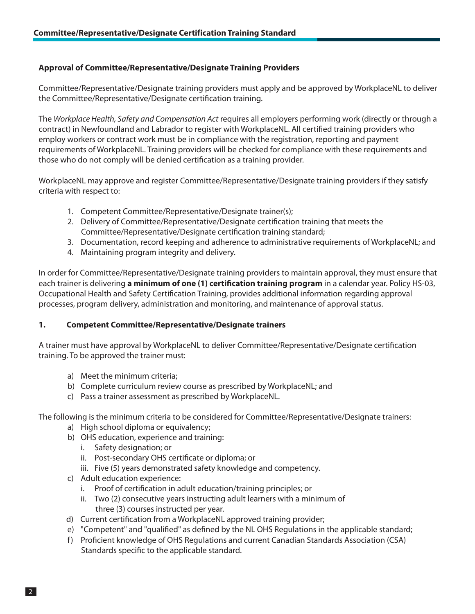## **Approval of Committee/Representative/Designate Training Providers**

Committee/Representative/Designate training providers must apply and be approved by WorkplaceNL to deliver the Committee/Representative/Designate certification training.

The Workplace Health, Safety and Compensation Act requires all employers performing work (directly or through a contract) in Newfoundland and Labrador to register with WorkplaceNL. All certified training providers who employ workers or contract work must be in compliance with the registration, reporting and payment requirements of WorkplaceNL. Training providers will be checked for compliance with these requirements and those who do not comply will be denied certification as a training provider.

WorkplaceNL may approve and register Committee/Representative/Designate training providers if they satisfy criteria with respect to:

- 1. Competent Committee/Representative/Designate trainer(s);
- 2. Delivery of Committee/Representative/Designate certification training that meets the Committee/Representative/Designate certification training standard;
- 3. Documentation, record keeping and adherence to administrative requirements of WorkplaceNL; and
- 4. Maintaining program integrity and delivery.

In order for Committee/Representative/Designate training providers to maintain approval, they must ensure that each trainer is delivering **a minimum of one (1) certification training program** in a calendar year. Policy HS-03, Occupational Health and Safety Certification Training, provides additional information regarding approval processes, program delivery, administration and monitoring, and maintenance of approval status.

## **1. Competent Committee/Representative/Designate trainers**

A trainer must have approval by WorkplaceNL to deliver Committee/Representative/Designate certification training. To be approved the trainer must:

- a) Meet the minimum criteria;
- b) Complete curriculum review course as prescribed by WorkplaceNL; and
- c) Pass a trainer assessment as prescribed by WorkplaceNL.

The following is the minimum criteria to be considered for Committee/Representative/Designate trainers:

- a) High school diploma or equivalency;
- b) OHS education, experience and training:
	- i. Safety designation; or
	- ii. Post-secondary OHS certificate or diploma; or
	- iii. Five (5) years demonstrated safety knowledge and competency.
- c) Adult education experience:
	- i. Proof of certification in adult education/training principles; or
	- ii. Two (2) consecutive years instructing adult learners with a minimum of three (3) courses instructed per year.
- d) Current certification from a WorkplaceNL approved training provider;
- e) "Competent" and "qualified" as defined by the NL OHS Regulations in the applicable standard;
- f) Proficient knowledge of OHS Regulations and current Canadian Standards Association (CSA) Standards specific to the applicable standard.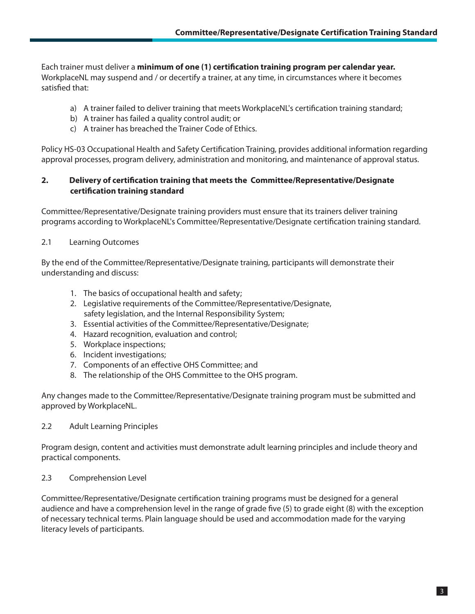Each trainer must deliver a minimum of one (1) certification training program per calendar year. WorkplaceNL may suspend and / or decertify a trainer, at any time, in circumstances where it becomes satisfied that:

- a) A trainer failed to deliver training that meets WorkplaceNL's certification training standard;
- b) A trainer has failed a quality control audit; or
- c) A trainer has breached the Trainer Code of Ethics.

Policy HS-03 Occupational Health and Safety Certification Training, provides additional information regarding approval processes, program delivery, administration and monitoring, and maintenance of approval status.

## 2. Delivery of certification training that meets the Committee/Representative/Designate **certification training standard**

Committee/Representative/Designate training providers must ensure that its trainers deliver training programs according to WorkplaceNL's Committee/Representative/Designate certification training standard.

#### 2.1 Learning Outcomes

By the end of the Committee/Representative/Designate training, participants will demonstrate their understanding and discuss:

- 1. The basics of occupational health and safety;
- 2. Legislative requirements of the Committee/Representative/Designate, safety legislation, and the Internal Responsibility System;
- 3. Essential activities of the Committee/Representative/Designate;
- 4. Hazard recognition, evaluation and control;
- 5. Workplace inspections;
- 6. Incident investigations;
- 7. Components of an effective OHS Committee; and
- 8. The relationship of the OHS Committee to the OHS program.

Any changes made to the Committee/Representative/Designate training program must be submitted and approved by WorkplaceNL.

## 2.2 Adult Learning Principles

Program design, content and activities must demonstrate adult learning principles and include theory and practical components.

## 2.3 Comprehension Level

Committee/Representative/Designate certification training programs must be designed for a general audience and have a comprehension level in the range of grade five (5) to grade eight (8) with the exception of necessary technical terms. Plain language should be used and accommodation made for the varying literacy levels of participants.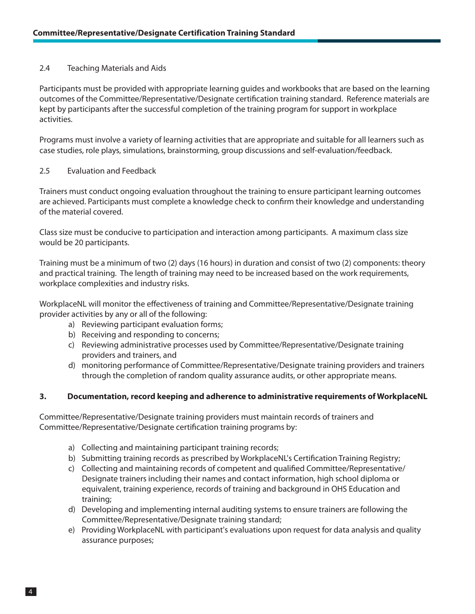#### 2.4 Teaching Materials and Aids

Participants must be provided with appropriate learning guides and workbooks that are based on the learning outcomes of the Committee/Representative/Designate certification training standard. Reference materials are kept by participants after the successful completion of the training program for support in workplace activities.

Programs must involve a variety of learning activities that are appropriate and suitable for all learners such as case studies, role plays, simulations, brainstorming, group discussions and self-evaluation/feedback.

#### 2.5 Evaluation and Feedback

Trainers must conduct ongoing evaluation throughout the training to ensure participant learning outcomes are achieved. Participants must complete a knowledge check to confirm their knowledge and understanding of the material covered.

Class size must be conducive to participation and interaction among participants. A maximum class size would be 20 participants.

Training must be a minimum of two (2) days (16 hours) in duration and consist of two (2) components: theory and practical training. The length of training may need to be increased based on the work requirements, workplace complexities and industry risks.

WorkplaceNL will monitor the effectiveness of training and Committee/Representative/Designate training provider activities by any or all of the following:

- a) Reviewing participant evaluation forms;
- b) Receiving and responding to concerns;
- c) Reviewing administrative processes used by Committee/Representative/Designate training providers and trainers, and
- d) monitoring performance of Committee/Representative/Designate training providers and trainers through the completion of random quality assurance audits, or other appropriate means.

#### **3. Documentation, record keeping and adherence to administrative requirements of WorkplaceNL**

Committee/Representative/Designate training providers must maintain records of trainers and Committee/Representative/Designate certification training programs by:

- a) Collecting and maintaining participant training records;
- b) Submitting training records as prescribed by WorkplaceNL's Certification Training Registry;
- c) Collecting and maintaining records of competent and qualified Committee/Representative/ Designate trainers including their names and contact information, high school diploma or equivalent, training experience, records of training and background in OHS Education and training;
- d) Developing and implementing internal auditing systems to ensure trainers are following the Committee/Representative/Designate training standard;
- e) Providing WorkplaceNL with participant's evaluations upon request for data analysis and quality assurance purposes;